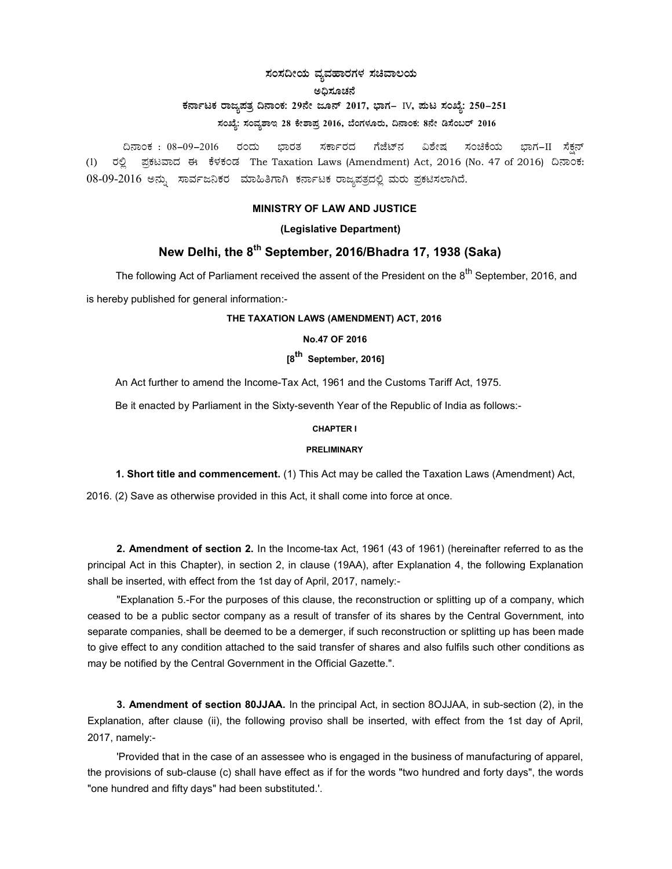### ಸಂಸದೀಯ ವ್ಯವಹಾರಗಳ ಸಚಿವಾಲಯ ಅಧಿಸೂಚನೆ ಕರ್ನಾಟಕ ರಾಜ್ಯಪತ್ರ ದಿನಾಂಕ: 29ನೇ ಜೂನ್ 2017, ಭಾಗ– IV, ಮಟ ಸಂಖ್ಯೆ: 250–251 ಸಂಖ್ಯೆ: ಸಂವ್ಯಶಾಇ 28 ಕೇಶಾಪ್ರ 2016, ಬೆಂಗಳೂರು, ದಿನಾಂಕ: 8ನೇ ಡಿಸೆಂಬರ್ 2016

ದಿನಾಂಕ : 08–09–2016 ರಂದು ಭಾರತ ಸರ್ಕಾರದ ಗೆಜೆಟ್ನ್ ವಿಶೇಷ ಸಂಚಿಕೆಯ ಭಾಗ−II ಸೆಕನ್ (1) ರಲ್ಲಿ ಪ್ರಕಟವಾದ ಈ ಕೆಳಕಂಡ The Taxation Laws (Amendment) Act, 2016 (No. 47 of 2016) ದಿನಾಂಕ: 08-09-2016 ಅನ್ನು ಸಾರ್ವಜನಿಕರ ಮಾಹಿತಿಗಾಗಿ ಕರ್ನಾಟಕ ರಾಜ್ಯಪತ್ರದಲ್ಲಿ ಮರು ಪ್ರಕಟಿಸಲಾಗಿದೆ.

#### MINISTRY OF LAW AND JUSTICE

#### (Legislative Department)

# New Delhi, the 8<sup>th</sup> September, 2016/Bhadra 17, 1938 (Saka)

The following Act of Parliament received the assent of the President on the 8<sup>th</sup> September, 2016, and

is hereby published for general information:-

#### THE TAXATION LAWS (AMENDMENT) ACT, 2016

#### No.47 OF 2016

# [8<sup>th</sup> September, 2016]

An Act further to amend the Income-Tax Act, 1961 and the Customs Tariff Act, 1975.

Be it enacted by Parliament in the Sixty-seventh Year of the Republic of India as follows:-

#### CHAPTER I

#### PRELIMINARY

1. Short title and commencement. (1) This Act may be called the Taxation Laws (Amendment) Act,

2016. (2) Save as otherwise provided in this Act, it shall come into force at once.

2. Amendment of section 2. In the Income-tax Act, 1961 (43 of 1961) (hereinafter referred to as the principal Act in this Chapter), in section 2, in clause (19AA), after Explanation 4, the following Explanation shall be inserted, with effect from the 1st day of April, 2017, namely:-

"Explanation 5.-For the purposes of this clause, the reconstruction or splitting up of a company, which ceased to be a public sector company as a result of transfer of its shares by the Central Government, into separate companies, shall be deemed to be a demerger, if such reconstruction or splitting up has been made to give effect to any condition attached to the said transfer of shares and also fulfils such other conditions as may be notified by the Central Government in the Official Gazette.".

3. Amendment of section 80JJAA. In the principal Act, in section 8OJJAA, in sub-section (2), in the Explanation, after clause (ii), the following proviso shall be inserted, with effect from the 1st day of April, 2017, namely:-

'Provided that in the case of an assessee who is engaged in the business of manufacturing of apparel, the provisions of sub-clause (c) shall have effect as if for the words "two hundred and forty days", the words "one hundred and fifty days" had been substituted.'.